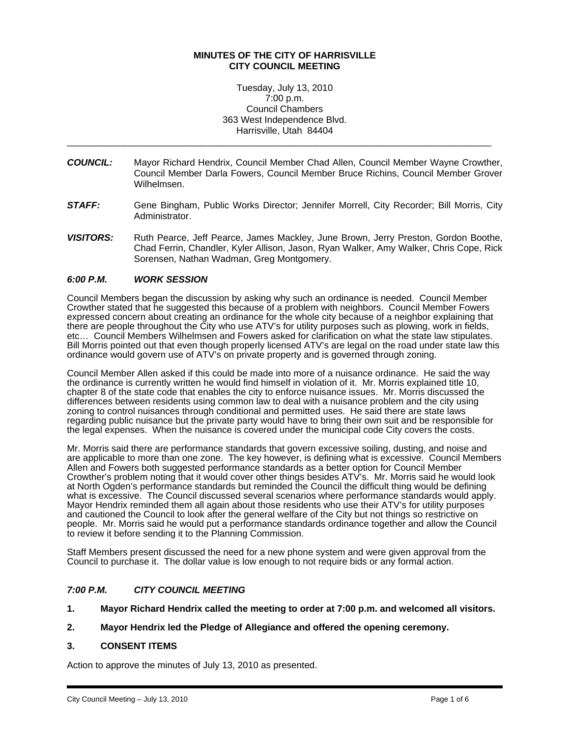### **MINUTES OF THE CITY OF HARRISVILLE CITY COUNCIL MEETING**

Tuesday, July 13, 2010 7:00 p.m. Council Chambers 363 West Independence Blvd. Harrisville, Utah 84404

\_\_\_\_\_\_\_\_\_\_\_\_\_\_\_\_\_\_\_\_\_\_\_\_\_\_\_\_\_\_\_\_\_\_\_\_\_\_\_\_\_\_\_\_\_\_\_\_\_\_\_\_\_\_\_\_\_\_\_\_\_\_\_\_\_\_\_\_\_\_\_\_\_\_\_\_\_\_\_\_\_\_

- *COUNCIL:* Mayor Richard Hendrix, Council Member Chad Allen, Council Member Wayne Crowther, Council Member Darla Fowers, Council Member Bruce Richins, Council Member Grover Wilhelmsen.
- *STAFF:* Gene Bingham, Public Works Director; Jennifer Morrell, City Recorder; Bill Morris, City Administrator.
- **VISITORS:** Ruth Pearce, Jeff Pearce, James Mackley, June Brown, Jerry Preston, Gordon Boothe, Chad Ferrin, Chandler, Kyler Allison, Jason, Ryan Walker, Amy Walker, Chris Cope, Rick Sorensen, Nathan Wadman, Greg Montgomery.

### *6:00 P.M. WORK SESSION*

Council Members began the discussion by asking why such an ordinance is needed. Council Member Crowther stated that he suggested this because of a problem with neighbors. Council Member Fowers expressed concern about creating an ordinance for the whole city because of a neighbor explaining that there are people throughout the City who use ATV's for utility purposes such as plowing, work in fields, etc… Council Members Wilhelmsen and Fowers asked for clarification on what the state law stipulates. Bill Morris pointed out that even though properly licensed ATV's are legal on the road under state law this ordinance would govern use of ATV's on private property and is governed through zoning.

Council Member Allen asked if this could be made into more of a nuisance ordinance. He said the way the ordinance is currently written he would find himself in violation of it. Mr. Morris explained title 10, chapter 8 of the state code that enables the city to enforce nuisance issues. Mr. Morris discussed the differences between residents using common law to deal with a nuisance problem and the city using zoning to control nuisances through conditional and permitted uses. He said there are state laws regarding public nuisance but the private party would have to bring their own suit and be responsible for the legal expenses. When the nuisance is covered under the municipal code City covers the costs.

Mr. Morris said there are performance standards that govern excessive soiling, dusting, and noise and are applicable to more than one zone. The key however, is defining what is excessive. Council Members Allen and Fowers both suggested performance standards as a better option for Council Member Crowther's problem noting that it would cover other things besides ATV's. Mr. Morris said he would look at North Ogden's performance standards but reminded the Council the difficult thing would be defining what is excessive. The Council discussed several scenarios where performance standards would apply. Mayor Hendrix reminded them all again about those residents who use their ATV's for utility purposes and cautioned the Council to look after the general welfare of the City but not things so restrictive on people. Mr. Morris said he would put a performance standards ordinance together and allow the Council to review it before sending it to the Planning Commission.

Staff Members present discussed the need for a new phone system and were given approval from the Council to purchase it. The dollar value is low enough to not require bids or any formal action.

### *7:00 P.M. CITY COUNCIL MEETING*

**1. Mayor Richard Hendrix called the meeting to order at 7:00 p.m. and welcomed all visitors.** 

### **2. Mayor Hendrix led the Pledge of Allegiance and offered the opening ceremony.**

### **3. CONSENT ITEMS**

Action to approve the minutes of July 13, 2010 as presented.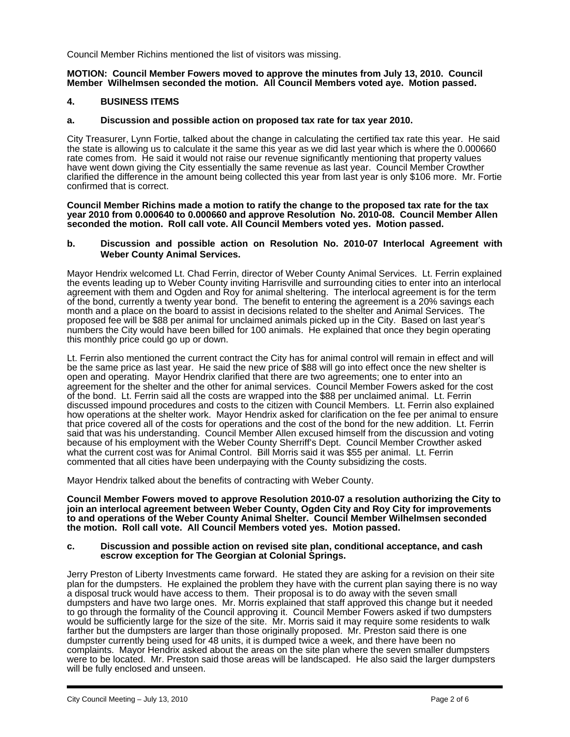Council Member Richins mentioned the list of visitors was missing.

#### **MOTION: Council Member Fowers moved to approve the minutes from July 13, 2010. Council Member Wilhelmsen seconded the motion. All Council Members voted aye. Motion passed.**

### **4. BUSINESS ITEMS**

#### **a. Discussion and possible action on proposed tax rate for tax year 2010.**

City Treasurer, Lynn Fortie, talked about the change in calculating the certified tax rate this year. He said the state is allowing us to calculate it the same this year as we did last year which is where the 0.000660 rate comes from. He said it would not raise our revenue significantly mentioning that property values have went down giving the City essentially the same revenue as last year. Council Member Crowther clarified the difference in the amount being collected this year from last year is only \$106 more. Mr. Fortie confirmed that is correct.

**Council Member Richins made a motion to ratify the change to the proposed tax rate for the tax year 2010 from 0.000640 to 0.000660 and approve Resolution No. 2010-08. Council Member Allen seconded the motion. Roll call vote. All Council Members voted yes. Motion passed.** 

#### **b. Discussion and possible action on Resolution No. 2010-07 Interlocal Agreement with Weber County Animal Services.**

Mayor Hendrix welcomed Lt. Chad Ferrin, director of Weber County Animal Services. Lt. Ferrin explained the events leading up to Weber County inviting Harrisville and surrounding cities to enter into an interlocal agreement with them and Ogden and Roy for animal sheltering. The interlocal agreement is for the term of the bond, currently a twenty year bond. The benefit to entering the agreement is a 20% savings each month and a place on the board to assist in decisions related to the shelter and Animal Services. The proposed fee will be \$88 per animal for unclaimed animals picked up in the City. Based on last year's numbers the City would have been billed for 100 animals. He explained that once they begin operating this monthly price could go up or down.

Lt. Ferrin also mentioned the current contract the City has for animal control will remain in effect and will be the same price as last year. He said the new price of \$88 will go into effect once the new shelter is open and operating. Mayor Hendrix clarified that there are two agreements; one to enter into an agreement for the shelter and the other for animal services. Council Member Fowers asked for the cost of the bond. Lt. Ferrin said all the costs are wrapped into the \$88 per unclaimed animal. Lt. Ferrin discussed impound procedures and costs to the citizen with Council Members. Lt. Ferrin also explained how operations at the shelter work. Mayor Hendrix asked for clarification on the fee per animal to ensure that price covered all of the costs for operations and the cost of the bond for the new addition. Lt. Ferrin said that was his understanding. Council Member Allen excused himself from the discussion and voting because of his employment with the Weber County Sherriff's Dept. Council Member Crowther asked what the current cost was for Animal Control. Bill Morris said it was \$55 per animal. Lt. Ferrin commented that all cities have been underpaying with the County subsidizing the costs.

Mayor Hendrix talked about the benefits of contracting with Weber County.

**Council Member Fowers moved to approve Resolution 2010-07 a resolution authorizing the City to join an interlocal agreement between Weber County, Ogden City and Roy City for improvements to and operations of the Weber County Animal Shelter. Council Member Wilhelmsen seconded the motion. Roll call vote. All Council Members voted yes. Motion passed.** 

#### **c. Discussion and possible action on revised site plan, conditional acceptance, and cash escrow exception for The Georgian at Colonial Springs.**

Jerry Preston of Liberty Investments came forward. He stated they are asking for a revision on their site plan for the dumpsters. He explained the problem they have with the current plan saying there is no way a disposal truck would have access to them. Their proposal is to do away with the seven small dumpsters and have two large ones. Mr. Morris explained that staff approved this change but it needed to go through the formality of the Council approving it. Council Member Fowers asked if two dumpsters would be sufficiently large for the size of the site. Mr. Morris said it may require some residents to walk farther but the dumpsters are larger than those originally proposed. Mr. Preston said there is one dumpster currently being used for 48 units, it is dumped twice a week, and there have been no complaints. Mayor Hendrix asked about the areas on the site plan where the seven smaller dumpsters were to be located. Mr. Preston said those areas will be landscaped. He also said the larger dumpsters will be fully enclosed and unseen.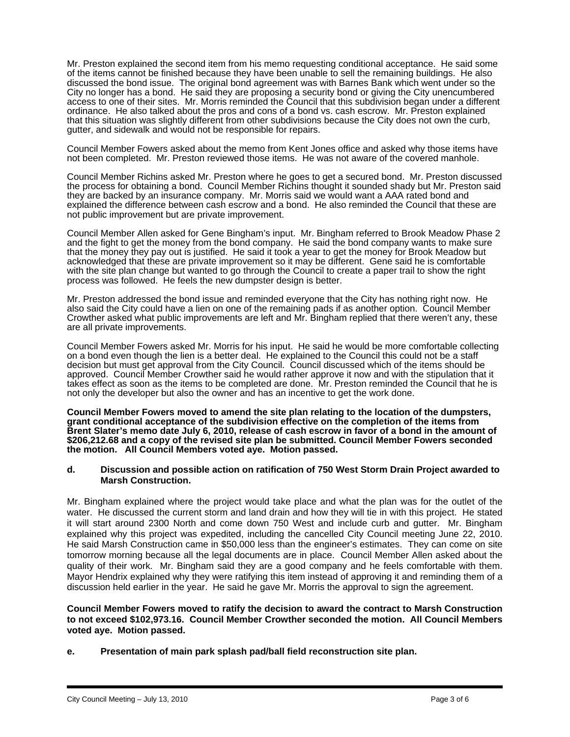Mr. Preston explained the second item from his memo requesting conditional acceptance. He said some of the items cannot be finished because they have been unable to sell the remaining buildings. He also discussed the bond issue. The original bond agreement was with Barnes Bank which went under so the City no longer has a bond. He said they are proposing a security bond or giving the City unencumbered access to one of their sites. Mr. Morris reminded the Council that this subdivision began under a different ordinance. He also talked about the pros and cons of a bond vs. cash escrow. Mr. Preston explained that this situation was slightly different from other subdivisions because the City does not own the curb, gutter, and sidewalk and would not be responsible for repairs.

Council Member Fowers asked about the memo from Kent Jones office and asked why those items have not been completed. Mr. Preston reviewed those items. He was not aware of the covered manhole.

Council Member Richins asked Mr. Preston where he goes to get a secured bond. Mr. Preston discussed the process for obtaining a bond. Council Member Richins thought it sounded shady but Mr. Preston said they are backed by an insurance company. Mr. Morris said we would want a AAA rated bond and explained the difference between cash escrow and a bond. He also reminded the Council that these are not public improvement but are private improvement.

Council Member Allen asked for Gene Bingham's input. Mr. Bingham referred to Brook Meadow Phase 2 and the fight to get the money from the bond company. He said the bond company wants to make sure that the money they pay out is justified. He said it took a year to get the money for Brook Meadow but acknowledged that these are private improvement so it may be different. Gene said he is comfortable with the site plan change but wanted to go through the Council to create a paper trail to show the right process was followed. He feels the new dumpster design is better.

Mr. Preston addressed the bond issue and reminded everyone that the City has nothing right now. He also said the City could have a lien on one of the remaining pads if as another option. Council Member Crowther asked what public improvements are left and Mr. Bingham replied that there weren't any, these are all private improvements.

Council Member Fowers asked Mr. Morris for his input. He said he would be more comfortable collecting on a bond even though the lien is a better deal. He explained to the Council this could not be a staff decision but must get approval from the City Council. Council discussed which of the items should be approved. Council Member Crowther said he would rather approve it now and with the stipulation that it takes effect as soon as the items to be completed are done. Mr. Preston reminded the Council that he is not only the developer but also the owner and has an incentive to get the work done.

**Council Member Fowers moved to amend the site plan relating to the location of the dumpsters, grant conditional acceptance of the subdivision effective on the completion of the items from Brent Slater's memo date July 6, 2010, release of cash escrow in favor of a bond in the amount of \$206,212.68 and a copy of the revised site plan be submitted. Council Member Fowers seconded the motion. All Council Members voted aye. Motion passed.** 

#### **d. Discussion and possible action on ratification of 750 West Storm Drain Project awarded to Marsh Construction.**

Mr. Bingham explained where the project would take place and what the plan was for the outlet of the water. He discussed the current storm and land drain and how they will tie in with this project. He stated it will start around 2300 North and come down 750 West and include curb and gutter. Mr. Bingham explained why this project was expedited, including the cancelled City Council meeting June 22, 2010. He said Marsh Construction came in \$50,000 less than the engineer's estimates. They can come on site tomorrow morning because all the legal documents are in place. Council Member Allen asked about the quality of their work. Mr. Bingham said they are a good company and he feels comfortable with them. Mayor Hendrix explained why they were ratifying this item instead of approving it and reminding them of a discussion held earlier in the year. He said he gave Mr. Morris the approval to sign the agreement.

**Council Member Fowers moved to ratify the decision to award the contract to Marsh Construction to not exceed \$102,973.16. Council Member Crowther seconded the motion. All Council Members voted aye. Motion passed.** 

**e. Presentation of main park splash pad/ball field reconstruction site plan.**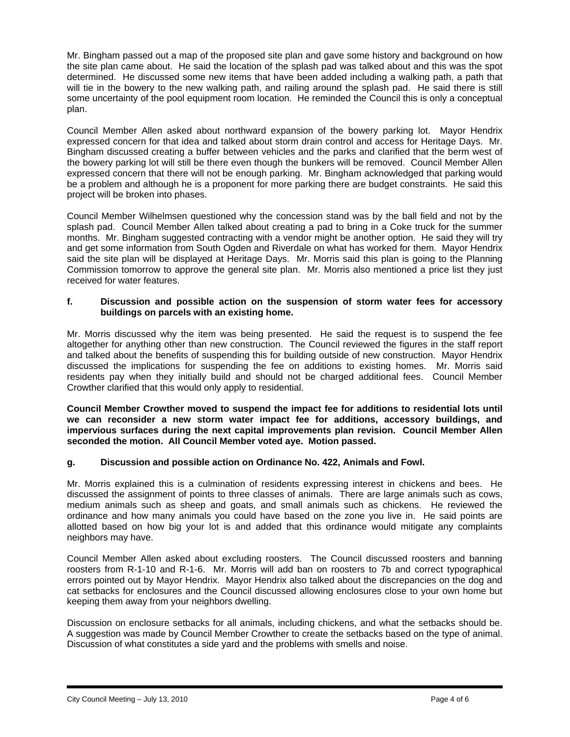Mr. Bingham passed out a map of the proposed site plan and gave some history and background on how the site plan came about. He said the location of the splash pad was talked about and this was the spot determined. He discussed some new items that have been added including a walking path, a path that will tie in the bowery to the new walking path, and railing around the splash pad. He said there is still some uncertainty of the pool equipment room location. He reminded the Council this is only a conceptual plan.

Council Member Allen asked about northward expansion of the bowery parking lot. Mayor Hendrix expressed concern for that idea and talked about storm drain control and access for Heritage Days. Mr. Bingham discussed creating a buffer between vehicles and the parks and clarified that the berm west of the bowery parking lot will still be there even though the bunkers will be removed. Council Member Allen expressed concern that there will not be enough parking. Mr. Bingham acknowledged that parking would be a problem and although he is a proponent for more parking there are budget constraints. He said this project will be broken into phases.

Council Member Wilhelmsen questioned why the concession stand was by the ball field and not by the splash pad. Council Member Allen talked about creating a pad to bring in a Coke truck for the summer months. Mr. Bingham suggested contracting with a vendor might be another option. He said they will try and get some information from South Ogden and Riverdale on what has worked for them. Mayor Hendrix said the site plan will be displayed at Heritage Days. Mr. Morris said this plan is going to the Planning Commission tomorrow to approve the general site plan. Mr. Morris also mentioned a price list they just received for water features.

### **f. Discussion and possible action on the suspension of storm water fees for accessory buildings on parcels with an existing home.**

Mr. Morris discussed why the item was being presented. He said the request is to suspend the fee altogether for anything other than new construction. The Council reviewed the figures in the staff report and talked about the benefits of suspending this for building outside of new construction. Mayor Hendrix discussed the implications for suspending the fee on additions to existing homes. Mr. Morris said residents pay when they initially build and should not be charged additional fees. Council Member Crowther clarified that this would only apply to residential.

**Council Member Crowther moved to suspend the impact fee for additions to residential lots until we can reconsider a new storm water impact fee for additions, accessory buildings, and impervious surfaces during the next capital improvements plan revision. Council Member Allen seconded the motion. All Council Member voted aye. Motion passed.** 

# **g. Discussion and possible action on Ordinance No. 422, Animals and Fowl.**

Mr. Morris explained this is a culmination of residents expressing interest in chickens and bees. He discussed the assignment of points to three classes of animals. There are large animals such as cows, medium animals such as sheep and goats, and small animals such as chickens. He reviewed the ordinance and how many animals you could have based on the zone you live in. He said points are allotted based on how big your lot is and added that this ordinance would mitigate any complaints neighbors may have.

Council Member Allen asked about excluding roosters. The Council discussed roosters and banning roosters from R-1-10 and R-1-6. Mr. Morris will add ban on roosters to 7b and correct typographical errors pointed out by Mayor Hendrix. Mayor Hendrix also talked about the discrepancies on the dog and cat setbacks for enclosures and the Council discussed allowing enclosures close to your own home but keeping them away from your neighbors dwelling.

Discussion on enclosure setbacks for all animals, including chickens, and what the setbacks should be. A suggestion was made by Council Member Crowther to create the setbacks based on the type of animal. Discussion of what constitutes a side yard and the problems with smells and noise.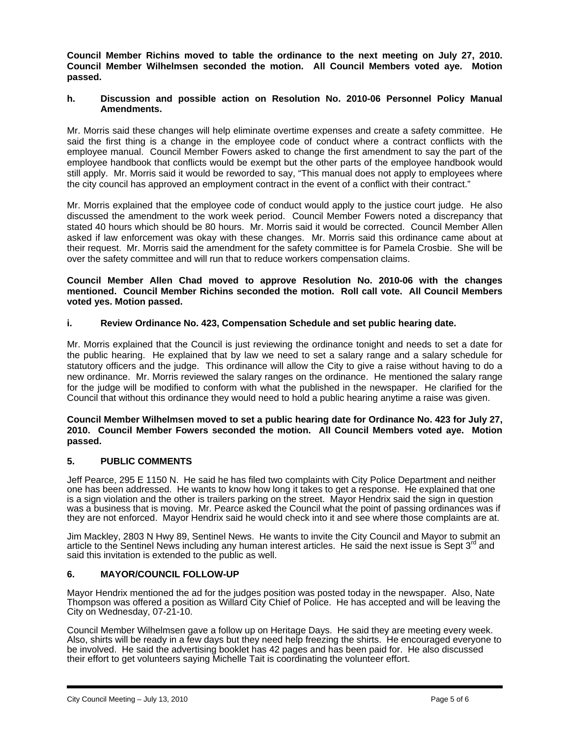**Council Member Richins moved to table the ordinance to the next meeting on July 27, 2010. Council Member Wilhelmsen seconded the motion. All Council Members voted aye. Motion passed.** 

### **h. Discussion and possible action on Resolution No. 2010-06 Personnel Policy Manual Amendments.**

Mr. Morris said these changes will help eliminate overtime expenses and create a safety committee. He said the first thing is a change in the employee code of conduct where a contract conflicts with the employee manual. Council Member Fowers asked to change the first amendment to say the part of the employee handbook that conflicts would be exempt but the other parts of the employee handbook would still apply. Mr. Morris said it would be reworded to say, "This manual does not apply to employees where the city council has approved an employment contract in the event of a conflict with their contract."

Mr. Morris explained that the employee code of conduct would apply to the justice court judge. He also discussed the amendment to the work week period. Council Member Fowers noted a discrepancy that stated 40 hours which should be 80 hours. Mr. Morris said it would be corrected. Council Member Allen asked if law enforcement was okay with these changes. Mr. Morris said this ordinance came about at their request. Mr. Morris said the amendment for the safety committee is for Pamela Crosbie. She will be over the safety committee and will run that to reduce workers compensation claims.

### **Council Member Allen Chad moved to approve Resolution No. 2010-06 with the changes mentioned. Council Member Richins seconded the motion. Roll call vote. All Council Members voted yes. Motion passed.**

## **i. Review Ordinance No. 423, Compensation Schedule and set public hearing date.**

Mr. Morris explained that the Council is just reviewing the ordinance tonight and needs to set a date for the public hearing. He explained that by law we need to set a salary range and a salary schedule for statutory officers and the judge. This ordinance will allow the City to give a raise without having to do a new ordinance. Mr. Morris reviewed the salary ranges on the ordinance. He mentioned the salary range for the judge will be modified to conform with what the published in the newspaper. He clarified for the Council that without this ordinance they would need to hold a public hearing anytime a raise was given.

### **Council Member Wilhelmsen moved to set a public hearing date for Ordinance No. 423 for July 27, 2010. Council Member Fowers seconded the motion. All Council Members voted aye. Motion passed.**

# **5. PUBLIC COMMENTS**

Jeff Pearce, 295 E 1150 N. He said he has filed two complaints with City Police Department and neither one has been addressed. He wants to know how long it takes to get a response. He explained that one is a sign violation and the other is trailers parking on the street. Mayor Hendrix said the sign in question was a business that is moving. Mr. Pearce asked the Council what the point of passing ordinances was if they are not enforced. Mayor Hendrix said he would check into it and see where those complaints are at.

Jim Mackley, 2803 N Hwy 89, Sentinel News. He wants to invite the City Council and Mayor to submit an article to the Sentinel News including any human interest articles. He said the next issue is Sept 3<sup>rd</sup> and said this invitation is extended to the public as well.

### **6. MAYOR/COUNCIL FOLLOW-UP**

Mayor Hendrix mentioned the ad for the judges position was posted today in the newspaper. Also, Nate Thompson was offered a position as Willard City Chief of Police. He has accepted and will be leaving the City on Wednesday, 07-21-10.

Council Member Wilhelmsen gave a follow up on Heritage Days. He said they are meeting every week. Also, shirts will be ready in a few days but they need help freezing the shirts. He encouraged everyone to be involved. He said the advertising booklet has 42 pages and has been paid for. He also discussed their effort to get volunteers saying Michelle Tait is coordinating the volunteer effort.